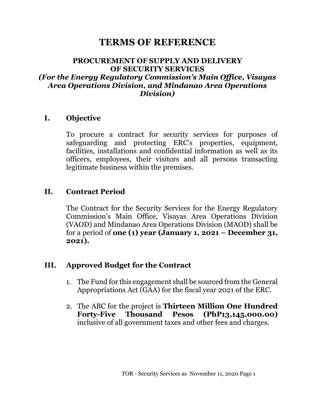# **TERMS OF REFERENCE**

#### **PROCUREMENT OF SUPPLY AND DELIVERY OF SECURITY SERVICES** *(For the Energy Regulatory Commission's Main Office, Visayas Area Operations Division, and Mindanao Area Operations Division)*

#### **I. Objective**

To procure a contract for security services for purposes of safeguarding and protecting ERC's properties, equipment, facilities, installations and confidential information as well as its officers, employees, their visitors and all persons transacting legitimate business within the premises.

#### **II. Contract Period**

The Contract for the Security Services for the Energy Regulatory Commission's Main Office, Visayas Area Operations Division (VAOD) and Mindanao Area Operations Division (MAOD) shall be for a period of **one (1) year (January 1, 2021 – December 31, 2021).**

#### **III. Approved Budget for the Contract**

- 1. The Fund for this engagement shall be sourced from the General Appropriations Act (GAA) for the fiscal year 2021 of the ERC.
- 2. The ABC for the project is **Thirteen Million One Hundred Forty-Five Thousand Pesos (PhP13,145,000.00)** inclusive of all government taxes and other fees and charges.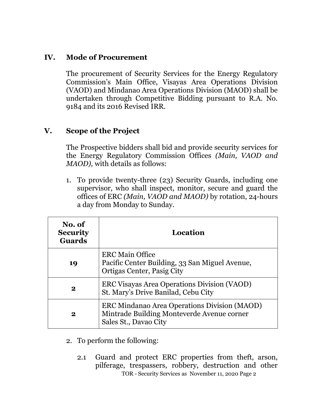## **IV. Mode of Procurement**

The procurement of Security Services for the Energy Regulatory Commission's Main Office, Visayas Area Operations Division (VAOD) and Mindanao Area Operations Division (MAOD) shall be undertaken through Competitive Bidding pursuant to R.A. No. 9184 and its 2016 Revised IRR.

## **V. Scope of the Project**

The Prospective bidders shall bid and provide security services for the Energy Regulatory Commission Offices *(Main, VAOD and MAOD),* with details as follows:

1. To provide twenty-three (23) Security Guards, including one supervisor, who shall inspect, monitor, secure and guard the offices of ERC *(Main, VAOD and MAOD)* by rotation, 24-hours a day from Monday to Sunday.

| No. of<br><b>Security</b><br><b>Guards</b> | Location                                                                                                            |
|--------------------------------------------|---------------------------------------------------------------------------------------------------------------------|
| 19                                         | <b>ERC Main Office</b><br>Pacific Center Building, 33 San Miguel Avenue,<br>Ortigas Center, Pasig City              |
| 2                                          | ERC Visayas Area Operations Division (VAOD)<br>St. Mary's Drive Banilad, Cebu City                                  |
| 2                                          | ERC Mindanao Area Operations Division (MAOD)<br>Mintrade Building Monteverde Avenue corner<br>Sales St., Davao City |

- 2. To perform the following:
	- TOR Security Services as November 11, 2020 Page 2 2.1 Guard and protect ERC properties from theft, arson, pilferage, trespassers, robbery, destruction and other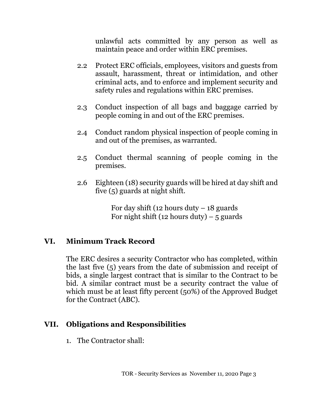unlawful acts committed by any person as well as maintain peace and order within ERC premises.

- 2.2 Protect ERC officials, employees, visitors and guests from assault, harassment, threat or intimidation, and other criminal acts, and to enforce and implement security and safety rules and regulations within ERC premises.
- 2.3 Conduct inspection of all bags and baggage carried by people coming in and out of the ERC premises.
- 2.4 Conduct random physical inspection of people coming in and out of the premises, as warranted.
- 2.5 Conduct thermal scanning of people coming in the premises.
- 2.6 Eighteen (18) security guards will be hired at day shift and five (5) guards at night shift.

For day shift (12 hours duty  $-18$  guards For night shift (12 hours duty) – 5 guards

### **VI. Minimum Track Record**

The ERC desires a security Contractor who has completed, within the last five (5) years from the date of submission and receipt of bids, a single largest contract that is similar to the Contract to be bid. A similar contract must be a security contract the value of which must be at least fifty percent (50%) of the Approved Budget for the Contract (ABC).

#### **VII. Obligations and Responsibilities**

1. The Contractor shall: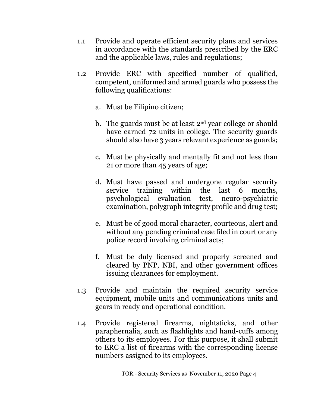- 1.1 Provide and operate efficient security plans and services in accordance with the standards prescribed by the ERC and the applicable laws, rules and regulations;
- 1.2 Provide ERC with specified number of qualified, competent, uniformed and armed guards who possess the following qualifications:
	- a. Must be Filipino citizen;
	- b. The guards must be at least 2nd year college or should have earned 72 units in college. The security guards should also have 3 years relevant experience as guards;
	- c. Must be physically and mentally fit and not less than 21 or more than 45 years of age;
	- d. Must have passed and undergone regular security service training within the last 6 months, psychological evaluation test, neuro-psychiatric examination, polygraph integrity profile and drug test;
	- e. Must be of good moral character, courteous, alert and without any pending criminal case filed in court or any police record involving criminal acts;
	- f. Must be duly licensed and properly screened and cleared by PNP, NBI, and other government offices issuing clearances for employment.
- 1.3 Provide and maintain the required security service equipment, mobile units and communications units and gears in ready and operational condition.
- 1.4 Provide registered firearms, nightsticks, and other paraphernalia, such as flashlights and hand-cuffs among others to its employees. For this purpose, it shall submit to ERC a list of firearms with the corresponding license numbers assigned to its employees.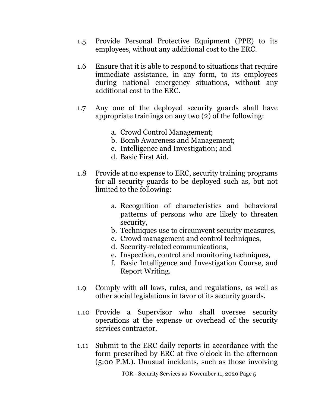- 1.5 Provide Personal Protective Equipment (PPE) to its employees, without any additional cost to the ERC.
- 1.6 Ensure that it is able to respond to situations that require immediate assistance, in any form, to its employees during national emergency situations, without any additional cost to the ERC.
- 1.7 Any one of the deployed security guards shall have appropriate trainings on any two (2) of the following:
	- a. Crowd Control Management;
	- b. Bomb Awareness and Management;
	- c. Intelligence and Investigation; and
	- d. Basic First Aid.
- 1.8 Provide at no expense to ERC, security training programs for all security guards to be deployed such as, but not limited to the following:
	- a. Recognition of characteristics and behavioral patterns of persons who are likely to threaten security,
	- b. Techniques use to circumvent security measures,
	- c. Crowd management and control techniques,
	- d. Security-related communications,
	- e. Inspection, control and monitoring techniques,
	- f. Basic Intelligence and Investigation Course, and Report Writing.
- 1.9 Comply with all laws, rules, and regulations, as well as other social legislations in favor of its security guards.
- 1.10 Provide a Supervisor who shall oversee security operations at the expense or overhead of the security services contractor.
- 1.11 Submit to the ERC daily reports in accordance with the form prescribed by ERC at five o'clock in the afternoon (5:00 P.M.). Unusual incidents, such as those involving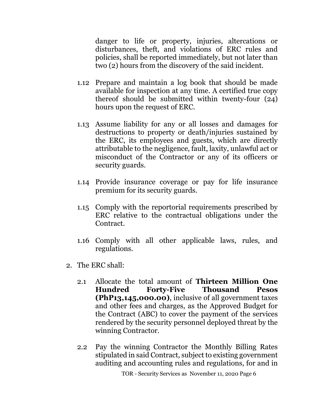danger to life or property, injuries, altercations or disturbances, theft, and violations of ERC rules and policies, shall be reported immediately, but not later than two (2) hours from the discovery of the said incident.

- 1.12 Prepare and maintain a log book that should be made available for inspection at any time. A certified true copy thereof should be submitted within twenty-four (24) hours upon the request of ERC.
- 1.13 Assume liability for any or all losses and damages for destructions to property or death/injuries sustained by the ERC, its employees and guests, which are directly attributable to the negligence, fault, laxity, unlawful act or misconduct of the Contractor or any of its officers or security guards.
- 1.14 Provide insurance coverage or pay for life insurance premium for its security guards.
- 1.15 Comply with the reportorial requirements prescribed by ERC relative to the contractual obligations under the Contract.
- 1.16 Comply with all other applicable laws, rules, and regulations.
- 2. The ERC shall:
	- 2.1 Allocate the total amount of **Thirteen Million One Hundred Forty-Five Thousand Pesos (PhP13,145,000.00)**, inclusive of all government taxes and other fees and charges, as the Approved Budget for the Contract (ABC) to cover the payment of the services rendered by the security personnel deployed threat by the winning Contractor.
	- 2.2 Pay the winning Contractor the Monthly Billing Rates stipulated in said Contract, subject to existing government auditing and accounting rules and regulations, for and in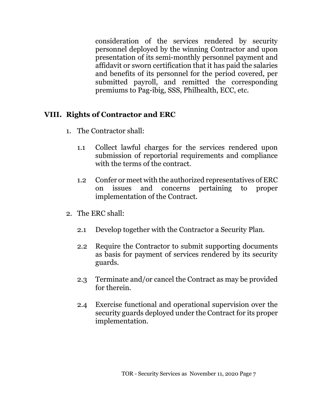consideration of the services rendered by security personnel deployed by the winning Contractor and upon presentation of its semi-monthly personnel payment and affidavit or sworn certification that it has paid the salaries and benefits of its personnel for the period covered, per submitted payroll, and remitted the corresponding premiums to Pag-ibig, SSS, Philhealth, ECC, etc.

### **VIII. Rights of Contractor and ERC**

- 1. The Contractor shall:
	- 1.1 Collect lawful charges for the services rendered upon submission of reportorial requirements and compliance with the terms of the contract.
	- 1.2 Confer or meet with the authorized representatives of ERC on issues and concerns pertaining to proper implementation of the Contract.
- 2. The ERC shall:
	- 2.1 Develop together with the Contractor a Security Plan.
	- 2.2 Require the Contractor to submit supporting documents as basis for payment of services rendered by its security guards.
	- 2.3 Terminate and/or cancel the Contract as may be provided for therein.
	- 2.4 Exercise functional and operational supervision over the security guards deployed under the Contract for its proper implementation.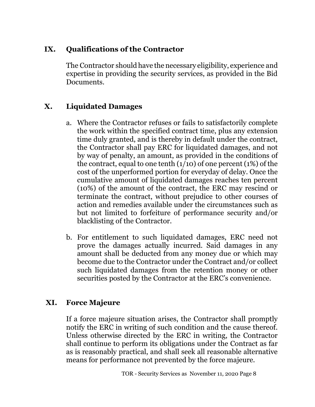## **IX. Qualifications of the Contractor**

The Contractor should have the necessary eligibility, experience and expertise in providing the security services, as provided in the Bid Documents.

## **X. Liquidated Damages**

- a. Where the Contractor refuses or fails to satisfactorily complete the work within the specified contract time, plus any extension time duly granted, and is thereby in default under the contract, the Contractor shall pay ERC for liquidated damages, and not by way of penalty, an amount, as provided in the conditions of the contract, equal to one tenth  $(1/10)$  of one percent  $(1%)$  of the cost of the unperformed portion for everyday of delay. Once the cumulative amount of liquidated damages reaches ten percent (10%) of the amount of the contract, the ERC may rescind or terminate the contract, without prejudice to other courses of action and remedies available under the circumstances such as but not limited to forfeiture of performance security and/or blacklisting of the Contractor.
- b. For entitlement to such liquidated damages, ERC need not prove the damages actually incurred. Said damages in any amount shall be deducted from any money due or which may become due to the Contractor under the Contract and/or collect such liquidated damages from the retention money or other securities posted by the Contractor at the ERC's convenience.

## **XI. Force Majeure**

If a force majeure situation arises, the Contractor shall promptly notify the ERC in writing of such condition and the cause thereof. Unless otherwise directed by the ERC in writing, the Contractor shall continue to perform its obligations under the Contract as far as is reasonably practical, and shall seek all reasonable alternative means for performance not prevented by the force majeure.